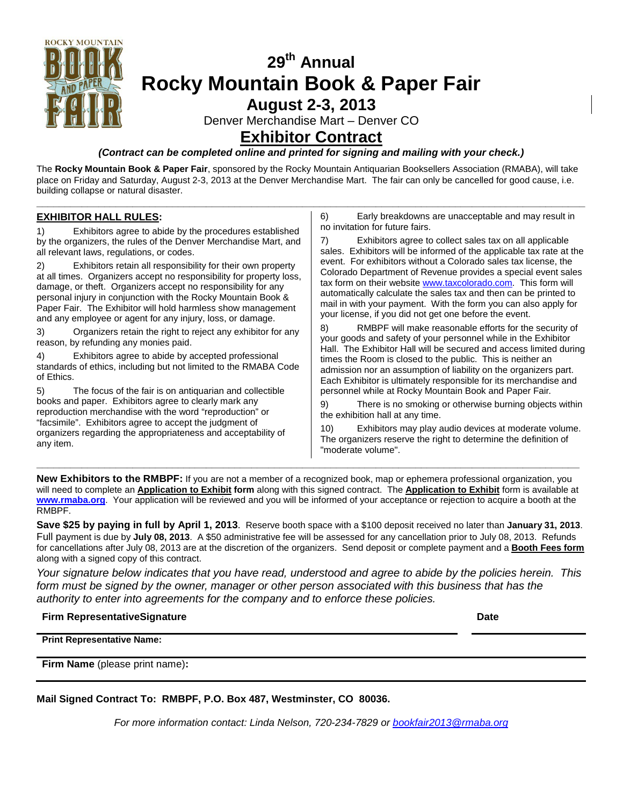

# **29th Annual Rocky Mountain Book & Paper Fair August 2-3, 2013**

Denver Merchandise Mart – Denver CO

### **Exhibitor Contract**

#### *(Contract can be completed online and printed for signing and mailing with your check.)*

The **Rocky Mountain Book & Paper Fair**, sponsored by the Rocky Mountain Antiquarian Booksellers Association (RMABA), will take place on Friday and Saturday, August 2-3, 2013 at the Denver Merchandise Mart. The fair can only be cancelled for good cause, i.e. building collapse or natural disaster.

**\_\_\_\_\_\_\_\_\_\_\_\_\_\_\_\_\_\_\_\_\_\_\_\_\_\_\_\_\_\_\_\_\_\_\_\_\_\_\_\_\_\_\_\_\_\_\_\_\_\_\_\_\_\_\_\_\_\_\_\_\_\_\_\_\_\_\_\_\_\_\_\_\_\_\_\_\_\_\_\_\_\_\_\_\_\_\_\_\_\_\_\_\_\_\_\_\_**

#### **EXHIBITOR HALL RULES :**

1) Exhibitors agree to abide by the procedures established by the organizers, the rules of the Denver Merchandise Mart, and all relevant laws, regulations, or codes.

2) Exhibitors retain all responsibility for their own property at all times. Organizers accept no responsibility for property loss, damage, or theft. Organizers accept no responsibility for any personal injury in conjunction with the Rocky Mountain Book & Paper Fair. The Exhibitor will hold harmless show management and any employee or agent for any injury, loss, or damage.

3) Organizers retain the right to reject any exhibitor for any reason, by refunding any monies paid.

4) Exhibitors agree to abide by accepted professional standards of ethics, including but not limited to the RMABA Code of Ethics.

5) The focus of the fair is on antiquarian and collectible books and paper. Exhibitors agree to clearly mark any reproduction merchandise with the word "reproduction" or "facsimile". Exhibitors agree to accept the judgment of organizers regarding the appropriateness and acceptability of any item.

6) Early breakdowns are unacceptable and may result in no invitation for future fairs.

7) Exhibitors agree to collect sales tax on all applicable sales. Exhibitors will be informed of the applicable tax rate at the event. For exhibitors without a Colorado sales tax license, the Colorado Department of Revenue provides a special event sales tax form on their websit[e www.taxcolorado.com.](http://www.taxcolorado.com/) This form will automatically calculate the sales tax and then can be printed to mail in with your payment. With the form you can also apply for your license, if you did not get one before the event.

8) RMBPF will make reasonable efforts for the security of your goods and safety of your personnel while in the Exhibitor Hall. The Exhibitor Hall will be secured and access limited during times the Room is closed to the public. This is neither an admission nor an assumption of liability on the organizers part. Each Exhibitor is ultimately responsible for its merchandise and personnel while at Rocky Mountain Book and Paper Fair.

9) There is no smoking or otherwise burning objects within the exhibition hall at any time.

10) Exhibitors may play audio devices at moderate volume. The organizers reserve the right to determine the definition of "moderate volume".

**New Exhibitors to the RMBPF:** If you are not a member of a recognized book, map or ephemera professional organization, you will need to complete an **Application to Exhibit form** along with this signed contract. The **Application to Exhibit** form is available at **[www.rmaba.org](http://www.rmaba.org/)**. Your application will be reviewed and you will be informed of your acceptance or rejection to acquire a booth at the RMBPF.

**\_\_\_\_\_\_\_\_\_\_\_\_\_\_\_\_\_\_\_\_\_\_\_\_\_\_\_\_\_\_\_\_\_\_\_\_\_\_\_\_\_\_\_\_\_\_\_\_\_\_\_\_\_\_\_\_\_\_\_\_\_\_\_\_\_\_\_\_\_\_\_\_\_\_\_\_\_\_\_\_\_\_\_\_\_\_\_\_\_\_\_\_\_\_\_\_**

**Save \$25 by paying in full by April 1, 2013**. Reserve booth space with a \$100 deposit received no later than **January 31, 2013**. Full payment is due by **July 08, 2013**. A \$50 administrative fee will be assessed for any cancellation prior to July 08, 2013. Refunds for cancellations after July 08, 2013 are at the discretion of the organizers. Send deposit or complete payment and a **Booth Fees form** along with a signed copy of this contract.

*Your signature below indicates that you have read, understood and agree to abide by the policies herein. This*  form must be signed by the owner, manager or other person associated with this business that has the *authority to enter into agreements for the company and to enforce these policies.*

#### **Firm RepresentativeSignature Date**

**Print Representative Name:** 

**Firm Name** (please print name)**:** 

**Mail Signed Contract To: RMBPF, P.O. Box 487, Westminster, CO 80036.**

*For more information contact: Linda Nelson, 720-234-7829 or [bookfair2013@rmaba.org](mailto:bookfair2013@rmaba.org)*